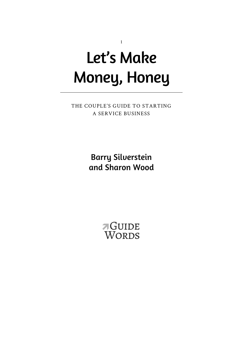# Let's Make Money, Honey

1

THE COUPLE'S GUIDE TO STARTING A SERVICE BUSINESS

> Barry Silverstein and Sharon Wood

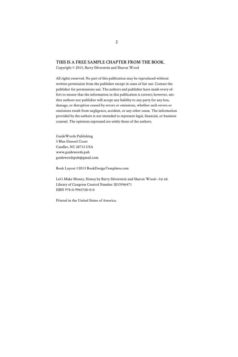#### **THIS IS A FREE SAMPLE CHAPTER FROM THE BOOK.**

Copyright © 2015, Barry Silverstein and Sharon Wood

All rights reserved. No part of this publication may be reproduced without written permission from the publisher except in cases of fair use. Contact the publisher for permissions use. The authors and publisher have made every effort to ensure that the information in this publication is correct; however, neither authors nor publisher will accept any liability to any party for any loss, damage, or disruption caused by errors or omissions, whether such errors or omissions result from negligence, accident, or any other cause. The information provided by the authors is not intended to represent legal, financial, or business counsel. The opinions expressed are solely those of the authors.

GuideWords Publishing 5 Blue Damsel Court Candler, NC 28715 USA www.guidewords.pub guidewordspub@gmail.com

Book Layout ©2013 BookDesignTemplates.com

Let's Make Money, Honey by Barry Silverstein and Sharon Wood—1st ed. Library of Congress Control Number 2015946471 ISBN 978-0-9965760-0-0

Printed in the United States of America.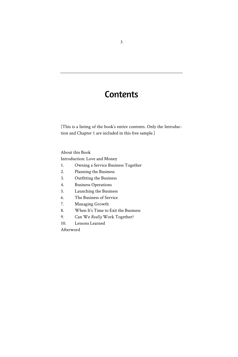# **Contents**

[This is a listing of the book's entire contents. Only the Introduction and Chapter 1 are included in this free sample.]

About this Book

Introduction: Love and Money

- 1. Owning a Service Business Together
- 2. Planning the Business
- 3. Outfitting the Business
- 4. Business Operations
- 5. Launching the Business
- 6. The Business of Service
- 7. Managing Growth
- 8. When It's Time to Exit the Business
- 9. Can We *Really* Work Together?
- 10. Lessons Learned

Afterword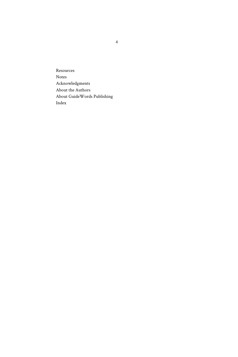Resources Notes Acknowledgments About the Authors About GuideWords Publishing Index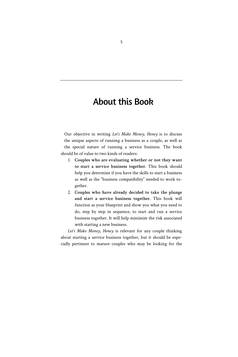### About this Book

Our objective in writing *Let's Make Money, Honey* is to discuss the unique aspects of running a business as a couple, as well as the special nature of running a service business. The book should be of value to two kinds of readers:

- 1. **Couples who are evaluating whether or not they want to start a service business together.** This book should help you determine if you have the skills to start a business as well as the "business compatibility" needed to work together.
- 2. **Couples who have already decided to take the plunge and start a service business together.** This book will function as your blueprint and show you what you need to do, step by step in sequence, to start and run a service business together. It will help minimize the risk associated with starting a new business.

*Let's Make Money, Honey* is relevant for any couple thinking about starting a service business together, but it should be especially pertinent to mature couples who may be looking for the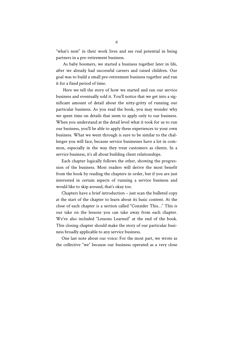"what's next" in their work lives and see real potential in being partners in a pre-retirement business.

As baby boomers, we started a business together later in life, after we already had successful careers and raised children. Our goal was to build a small pre-retirement business together and run it for a fixed period of time.

Here we tell the story of how we started and ran our service business and eventually sold it. You'll notice that we get into a significant amount of detail about the nitty-gritty of running our particular business. As you read the book, you may wonder why we spent time on details that seem to apply only to our business. When you understand at the detail level what it took for us to run our business, you'll be able to apply these experiences to your own business. What we went through is sure to be similar to the challenges you will face, because service businesses have a lot in common, especially in the way they treat customers as clients. In a service business, it's all about building client relationships.

Each chapter logically follows the other, showing the progression of the business. Most readers will derive the most benefit from the book by reading the chapters in order, but if you are just interested in certain aspects of running a service business and would like to skip around, that's okay too.

Chapters have a brief introduction – just scan the bulleted copy at the start of the chapter to learn about its basic content. At the close of each chapter is a section called "Consider This…" This is our take on the lessons you can take away from each chapter. We've also included "Lessons Learned" at the end of the book. This closing chapter should make the story of our particular business broadly applicable to any service business.

One last note about our voice: For the most part, we wrote as the collective "we" because our business operated as a very close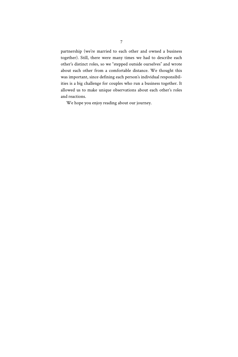partnership (we're married to each other and owned a business together). Still, there were many times we had to describe each other's distinct roles, so we "stepped outside ourselves" and wrote about each other from a comfortable distance. We thought this was important, since defining each person's individual responsibilities is a big challenge for couples who run a business together. It allowed us to make unique observations about each other's roles and reactions.

We hope you enjoy reading about our journey.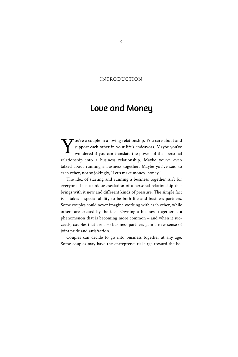### INTRODUCTION

### Love and Money

ou're a couple in a loving relationship. You care about and support each other in your life's endeavors. Maybe you've wondered if you can translate the power of that personal relationship into a business relationship. Maybe you've even talked about running a business together. Maybe you've said to each other, not so jokingly, "Let's make money, honey." Y

The idea of starting and running a business together isn't for everyone: It is a unique escalation of a personal relationship that brings with it new and different kinds of pressure. The simple fact is it takes a special ability to be both life and business partners. Some couples could never imagine working with each other, while others are excited by the idea. Owning a business together is a phenomenon that is becoming more common – and when it succeeds, couples that are also business partners gain a new sense of joint pride and satisfaction.

Couples can decide to go into business together at any age. Some couples may have the entrepreneurial urge toward the be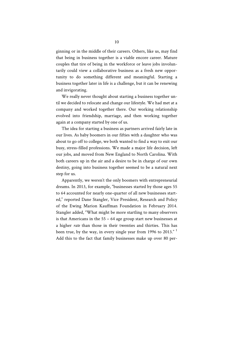ginning or in the middle of their careers. Others, like us, may find that being in business together is a viable encore career. Mature couples that tire of being in the workforce or leave jobs involuntarily could view a collaborative business as a fresh new opportunity to do something different and meaningful. Starting a business together later in life is a challenge, but it can be renewing and invigorating.

We really never thought about starting a business together until we decided to relocate and change our lifestyle. We had met at a company and worked together there. Our working relationship evolved into friendship, marriage, and then working together again at a company started by one of us.

The idea for starting a business as partners arrived fairly late in our lives. As baby boomers in our fifties with a daughter who was about to go off to college, we both wanted to find a way to exit our busy, stress-filled professions. We made a major life decision, left our jobs, and moved from New England to North Carolina. With both careers up in the air and a desire to be in charge of our own destiny, going into business together seemed to be a natural next step for us.

Apparently, we weren't the only boomers with entrepreneurial dreams. In 2013, for example, "businesses started by those ages 55 to 64 accounted for nearly one-quarter of all new businesses started," reported Dane Stangler, Vice President, Research and Policy of the Ewing Marion Kauffman Foundation in February 2014. Stangler added, "What might be more startling to many observers is that Americans in the 55 – 64 age group start new businesses at a higher *rate* than those in their twenties and thirties. This has been true, by the way, in every single year from 1996 to 2013." <sup>1</sup> Add this to the fact that family businesses make up over 80 per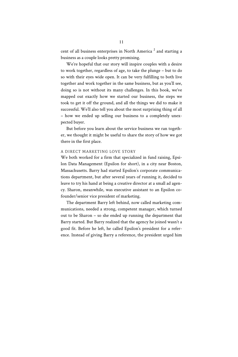cent of all business enterprises in North America<sup>2</sup> and starting a business as a couple looks pretty promising.

We're hopeful that our story will inspire couples with a desire to work together, regardless of age, to take the plunge – but to do so with their eyes wide open. It can be very fulfilling to both live together and work together in the same business, but as you'll see, doing so is not without its many challenges. In this book, we've mapped out exactly how we started our business, the steps we took to get it off the ground, and all the things we did to make it successful. We'll also tell you about the most surprising thing of all – how we ended up selling our business to a completely unexpected buyer.

But before you learn about the service business we ran together, we thought it might be useful to share the story of how we got there in the first place.

### A DIRECT MARKETING LOVE STORY

We both worked for a firm that specialized in fund raising, Epsilon Data Management (Epsilon for short), in a city near Boston, Massachusetts. Barry had started Epsilon's corporate communications department, but after several years of running it, decided to leave to try his hand at being a creative director at a small ad agency. Sharon, meanwhile, was executive assistant to an Epsilon cofounder/senior vice president of marketing.

The department Barry left behind, now called marketing communications, needed a strong, competent manager, which turned out to be Sharon – so she ended up running the department that Barry started. But Barry realized that the agency he joined wasn't a good fit. Before he left, he called Epsilon's president for a reference. Instead of giving Barry a reference, the president urged him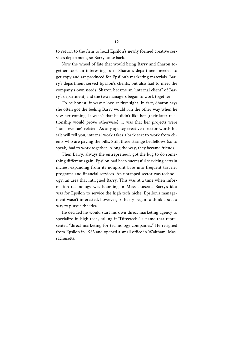to return to the firm to head Epsilon's newly formed creative services department, so Barry came back.

Now the wheel of fate that would bring Barry and Sharon together took an interesting turn. Sharon's department needed to get copy and art produced for Epsilon's marketing materials. Barry's department served Epsilon's clients, but also had to meet the company's own needs. Sharon became an "internal client" of Barry's department, and the two managers began to work together.

To be honest, it wasn't love at first sight. In fact, Sharon says she often got the feeling Barry would run the other way when he saw her coming. It wasn't that he didn't like her (their later relationship would prove otherwise), it was that her projects were "non-revenue" related. As any agency creative director worth his salt will tell you, internal work takes a back seat to work from clients who are paying the bills. Still, these strange bedfellows (so to speak) had to work together. Along the way, they became friends.

Then Barry, always the entrepreneur, got the bug to do something different again. Epsilon had been successful servicing certain niches, expanding from its nonprofit base into frequent traveler programs and financial services. An untapped sector was technology, an area that intrigued Barry. This was at a time when information technology was booming in Massachusetts. Barry's idea was for Epsilon to service the high tech niche. Epsilon's management wasn't interested, however, so Barry began to think about a way to pursue the idea.

He decided he would start his own direct marketing agency to specialize in high tech, calling it "Directech," a name that represented "direct marketing for technology companies." He resigned from Epsilon in 1983 and opened a small office in Waltham, Massachusetts.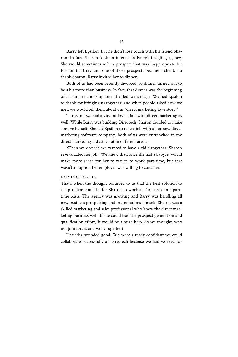Barry left Epsilon, but he didn't lose touch with his friend Sharon. In fact, Sharon took an interest in Barry's fledgling agency. She would sometimes refer a prospect that was inappropriate for Epsilon to Barry, and one of those prospects became a client. To thank Sharon, Barry invited her to dinner.

Both of us had been recently divorced, so dinner turned out to be a bit more than business. In fact, that dinner was the beginning of a lasting relationship, one that led to marriage. We had Epsilon to thank for bringing us together, and when people asked how we met, we would tell them about our "direct marketing love story."

Turns out we had a kind of love affair with direct marketing as well. While Barry was building Directech, Sharon decided to make a move herself. She left Epsilon to take a job with a hot new direct marketing software company. Both of us were entrenched in the direct marketing industry but in different areas.

When we decided we wanted to have a child together, Sharon re-evaluated her job. We knew that, once she had a baby, it would make more sense for her to return to work part-time, but that wasn't an option her employer was willing to consider.

#### JOINING FORCES

That's when the thought occurred to us that the best solution to the problem could be for Sharon to work at Directech on a parttime basis. The agency was growing and Barry was handling all new business prospecting and presentations himself. Sharon was a skilled marketing and sales professional who knew the direct marketing business well. If she could lead the prospect generation and qualification effort, it would be a huge help. So we thought, why not join forces and work together?

The idea sounded good. We were already confident we could collaborate successfully at Directech because we had worked to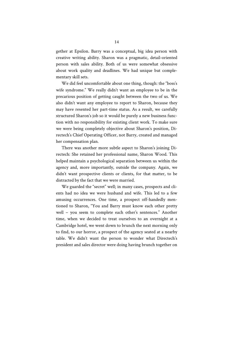gether at Epsilon. Barry was a conceptual, big idea person with creative writing ability. Sharon was a pragmatic, detail-oriented person with sales ability. Both of us were somewhat obsessive about work quality and deadlines. We had unique but complementary skill sets.

We did feel uncomfortable about one thing, though: the "boss's wife syndrome." We really didn't want an employee to be in the precarious position of getting caught between the two of us. We also didn't want any employee to report to Sharon, because they may have resented her part-time status. As a result, we carefully structured Sharon's job so it would be purely a new business function with no responsibility for existing client work. To make sure we were being completely objective about Sharon's position, Directech's Chief Operating Officer, not Barry, created and managed her compensation plan.

There was another more subtle aspect to Sharon's joining Directech: She retained her professional name, Sharon Wood. This helped maintain a psychological separation between us within the agency and, more importantly, outside the company. Again, we didn't want prospective clients or clients, for that matter, to be distracted by the fact that we were married.

We guarded the "secret" well; in many cases, prospects and clients had no idea we were husband and wife. This led to a few amusing occurrences. One time, a prospect off-handedly mentioned to Sharon, "You and Barry must know each other pretty well – you seem to complete each other's sentences." Another time, when we decided to treat ourselves to an overnight at a Cambridge hotel, we went down to brunch the next morning only to find, to our horror, a prospect of the agency seated at a nearby table. We didn't want the person to wonder what Directech's president and sales director were doing having brunch together on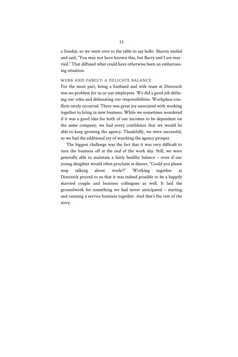a Sunday, so we went over to the table to say hello. Sharon smiled and said, "You may not have known this, but Barry and I are married." That diffused what could have otherwise been an embarrassing situation.

### WORK AND FAMILY: A DELICATE BALANCE

For the most part, being a husband and wife team at Directech was no problem for us or our employees. We did a good job defining our roles and delineating our responsibilities. Workplace conflicts rarely occurred. There was great joy associated with working together to bring in new business. While we sometimes wondered if it was a good idea for both of our incomes to be dependent on the same company, we had every confidence that we would be able to keep growing the agency. Thankfully, we were successful, so we had the additional joy of watching the agency prosper.

The biggest challenge was the fact that it was very difficult to turn the business off at the end of the work day. Still, we were generally able to maintain a fairly healthy balance – even if our young daughter would often proclaim at dinner, "Could you please stop talking about work?!" Working together at Directech proved to us that it was indeed possible to be a happily married couple and business colleagues as well. It laid the groundwork for something we had never anticipated – starting and running a service business together. And that's the rest of the story.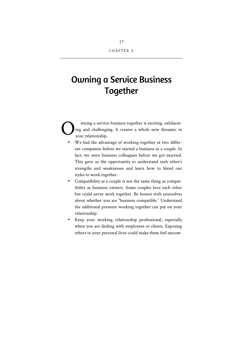# Owning a Service Business **Together**

wning a service business together is exciting, exhilarating and challenging. It creates a whole new dynamic in your relationship. O

- We had the advantage of working together at two different companies before we started a business as a couple. In fact, we were business colleagues before we got married. This gave us the opportunity to understand each other's strengths and weaknesses and learn how to blend our styles to work together.
- Compatibility as a couple is not the same thing as compatibility as business owners. Some couples love each other but could never work together. Be honest with yourselves about whether you are "business compatible." Understand the additional pressure working together can put on your relationship.
- Keep your working relationship professional, especially when you are dealing with employees or clients. Exposing others to your personal lives could make them feel uncom-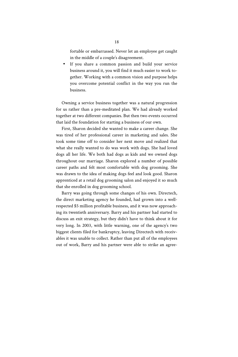fortable or embarrassed. Never let an employee get caught in the middle of a couple's disagreement.

If you share a common passion and build your service business around it, you will find it much easier to work together. Working with a common vision and purpose helps you overcome potential conflict in the way you run the business.

Owning a service business together was a natural progression for us rather than a pre-meditated plan. We had already worked together at two different companies. But then two events occurred that laid the foundation for starting a business of our own.

First, Sharon decided she wanted to make a career change. She was tired of her professional career in marketing and sales. She took some time off to consider her next move and realized that what she really wanted to do was work with dogs. She had loved dogs all her life. We both had dogs as kids and we owned dogs throughout our marriage. Sharon explored a number of possible career paths and felt most comfortable with dog grooming. She was drawn to the idea of making dogs feel and look good. Sharon apprenticed at a retail dog grooming salon and enjoyed it so much that she enrolled in dog grooming school.

Barry was going through some changes of his own. Directech, the direct marketing agency he founded, had grown into a wellrespected \$5 million profitable business, and it was now approaching its twentieth anniversary. Barry and his partner had started to discuss an exit strategy, but they didn't have to think about it for very long. In 2003, with little warning, one of the agency's two biggest clients filed for bankruptcy, leaving Directech with receivables it was unable to collect. Rather than put all of the employees out of work, Barry and his partner were able to strike an agree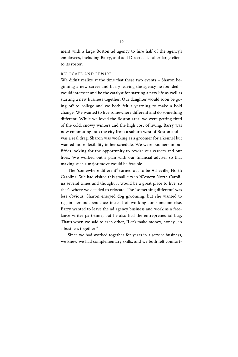ment with a large Boston ad agency to hire half of the agency's employees, including Barry, and add Directech's other large client to its roster.

### RELOCATE AND REWIRE

We didn't realize at the time that these two events – Sharon beginning a new career and Barry leaving the agency he founded – would intersect and be the catalyst for starting a new life as well as starting a new business together. Our daughter would soon be going off to college and we both felt a yearning to make a bold change. We wanted to live somewhere different and do something different. While we loved the Boston area, we were getting tired of the cold, snowy winters and the high cost of living. Barry was now commuting into the city from a suburb west of Boston and it was a real drag. Sharon was working as a groomer for a kennel but wanted more flexibility in her schedule. We were boomers in our fifties looking for the opportunity to rewire our careers and our lives. We worked out a plan with our financial adviser so that making such a major move would be feasible.

The "somewhere different" turned out to be Asheville, North Carolina. We had visited this small city in Western North Carolina several times and thought it would be a great place to live, so that's where we decided to relocate. The "something different" was less obvious. Sharon enjoyed dog grooming, but she wanted to regain her independence instead of working for someone else. Barry wanted to leave the ad agency business and work as a freelance writer part-time, but he also had the entrepreneurial bug. That's when we said to each other, "Let's make money, honey…in a business together."

Since we had worked together for years in a service business, we knew we had complementary skills, and we both felt comfort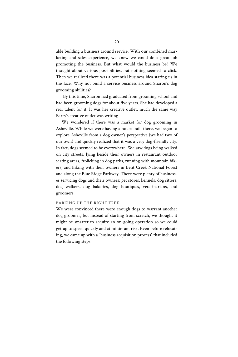able building a business around service. With our combined marketing and sales experience, we knew we could do a great job promoting the business. But what would the business be? We thought about various possibilities, but nothing seemed to click. Then we realized there was a potential business idea staring us in the face: Why not build a service business around Sharon's dog grooming abilities?

By this time, Sharon had graduated from grooming school and had been grooming dogs for about five years. She had developed a real talent for it. It was her creative outlet, much the same way Barry's creative outlet was writing.

We wondered if there was a market for dog grooming in Asheville. While we were having a house built there, we began to explore Asheville from a dog owner's perspective (we had two of our own) and quickly realized that it was a very dog-friendly city. In fact, dogs seemed to be everywhere. We saw dogs being walked on city streets, lying beside their owners in restaurant outdoor seating areas, frolicking in dog parks, running with mountain bikers, and hiking with their owners in Bent Creek National Forest and along the Blue Ridge Parkway. There were plenty of businesses servicing dogs and their owners: pet stores, kennels, dog sitters, dog walkers, dog bakeries, dog boutiques, veterinarians, and groomers.

### BARKING UP THE RIGHT TREE

We were convinced there were enough dogs to warrant another dog groomer, but instead of starting from scratch, we thought it might be smarter to acquire an on-going operation so we could get up to speed quickly and at minimum risk. Even before relocating, we came up with a "business acquisition process" that included the following steps: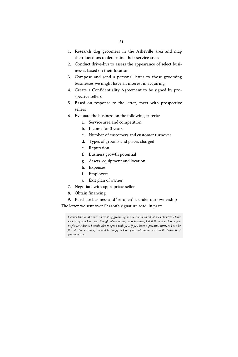- 1. Research dog groomers in the Asheville area and map their locations to determine their service areas
- 2. Conduct drive-bys to assess the appearance of select businesses based on their location
- 3. Compose and send a personal letter to those grooming businesses we might have an interest in acquiring
- 4. Create a Confidentiality Agreement to be signed by prospective sellers
- 5. Based on response to the letter, meet with prospective sellers
- 6. Evaluate the business on the following criteria:
	- a. Service area and competition
	- b. Income for 3 years
	- c. Number of customers and customer turnover
	- d. Types of grooms and prices charged
	- e. Reputation
	- f. Business growth potential
	- g. Assets, equipment and location
	- h. Expenses
	- i. Employees
	- j. Exit plan of owner
- 7. Negotiate with appropriate seller
- 8. Obtain financing
- 9. Purchase business and "re-open" it under our ownership

The letter we sent over Sharon's signature read, in part:

*I would like to take over an existing grooming business with an established clientele. I have no idea if you have ever thought about selling your business, but if there is a chance you might consider it, I would like to speak with you. If you have a potential interest, I can be flexible. For example, I would be happy to have you continue to work in the business, if you so desire.*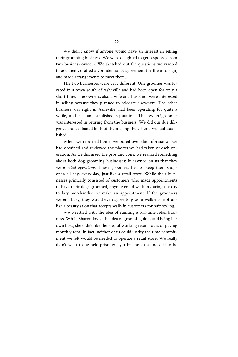We didn't know if anyone would have an interest in selling their grooming business. We were delighted to get responses from two business owners. We sketched out the questions we wanted to ask them, drafted a confidentiality agreement for them to sign, and made arrangements to meet them.

The two businesses were very different. One groomer was located in a town south of Asheville and had been open for only a short time. The owners, also a wife and husband, were interested in selling because they planned to relocate elsewhere. The other business was right in Asheville, had been operating for quite a while, and had an established reputation. The owner/groomer was interested in retiring from the business. We did our due diligence and evaluated both of them using the criteria we had established.

When we returned home, we pored over the information we had obtained and reviewed the photos we had taken of each operation. As we discussed the pros and cons, we realized something about both dog grooming businesses: It dawned on us that they were *retail operations*. These groomers had to keep their shops open all day, every day, just like a retail store. While their businesses primarily consisted of customers who made appointments to have their dogs groomed, anyone could walk in during the day to buy merchandise or make an appointment. If the groomers weren't busy, they would even agree to groom walk-ins, not unlike a beauty salon that accepts walk-in customers for hair styling.

We wrestled with the idea of running a full-time retail business. While Sharon loved the idea of grooming dogs and being her own boss, she didn't like the idea of working retail hours or paying monthly rent. In fact, neither of us could justify the time commitment we felt would be needed to operate a retail store. We really didn't want to be held prisoner by a business that needed to be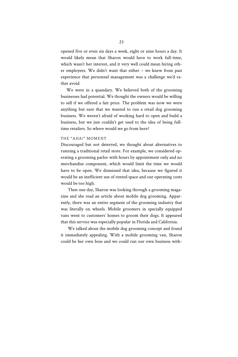opened five or even six days a week, eight or nine hours a day. It would likely mean that Sharon would have to work full-time, which wasn't her interest, and it very well could mean hiring other employees. We didn't want that either – we knew from past experience that personnel management was a challenge we'd rather avoid.

We were in a quandary. We believed both of the grooming businesses had potential. We thought the owners would be willing to sell if we offered a fair price. The problem was now we were anything but sure that we wanted to run a retail dog grooming business. We weren't afraid of working hard to open and build a business, but we just couldn't get used to the idea of being fulltime retailers. So where would we go from here?

### THE "AHA!" MOMENT

Discouraged but not deterred, we thought about alternatives to running a traditional retail store. For example, we considered operating a grooming parlor with hours by appointment only and no merchandise component, which would limit the time we would have to be open. We dismissed that idea, because we figured it would be an inefficient use of rented space and our operating costs would be too high.

Then one day, Sharon was looking through a grooming magazine and she read an article about mobile dog grooming. Apparently, there was an entire segment of the grooming industry that was literally on wheels. Mobile groomers in specially equipped vans went to customers' homes to groom their dogs. It appeared that this service was especially popular in Florida and California.

We talked about the mobile dog grooming concept and found it immediately appealing. With a mobile grooming van, Sharon could be her own boss and we could run our own business with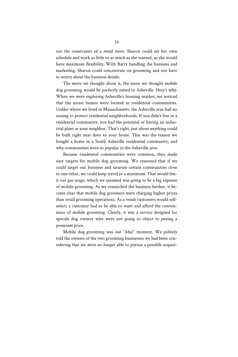out the constraints of a retail store. Sharon could set her own schedule and work as little or as much as she wanted, so she would have maximum flexibility. With Barry handling the business and marketing, Sharon could concentrate on grooming and not have to worry about the business details.

The more we thought about it, the more we thought mobile dog grooming would be perfectly suited to Asheville. Here's why: When we were exploring Asheville's housing market, we noticed that the nicest homes were located in residential communities. Unlike where we lived in Massachusetts, the Asheville area had no zoning to protect residential neighborhoods. If you didn't live in a residential community, you had the potential of having an industrial plant as your neighbor. That's right, just about anything could be built right next door to your home. This was the reason we bought a home in a South Asheville residential community, and why communities were so popular in the Asheville area.

Because residential communities were common, they made easy targets for mobile dog grooming. We reasoned that if we could target our business and saturate certain communities close to one other, we could keep travel to a minimum. That would limit our gas usage, which we assumed was going to be a big expense of mobile grooming. As we researched the business further, it became clear that mobile dog groomers were charging higher prices than retail grooming operations. As a result customers would selfselect; a customer had to be able to want and afford the convenience of mobile grooming. Clearly, it was a service designed for upscale dog owners who were not going to object to paying a premium price.

Mobile dog grooming was our "Aha!" moment. We politely told the owners of the two grooming businesses we had been considering that we were no longer able to pursue a possible acquisi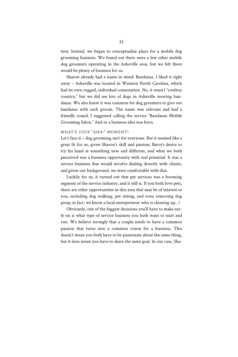tion. Instead, we began to conceptualize plans for a mobile dog grooming business. We found out there were a few other mobile dog groomers operating in the Asheville area, but we felt there would be plenty of business for us.

Sharon already had a name in mind: Bandanas. I liked it right away – Asheville was located in Western North Carolina, which had its own rugged, individual connotation. No, it wasn't "cowboy country," but we did see lots of dogs in Asheville wearing bandanas. We also knew it was common for dog groomers to give out bandanas with each groom. The name was relevant and had a friendly sound. I suggested calling the service "Bandanas Mobile Grooming Salon." And so a business idea was born.

### WHAT'S *YOUR* "AHA!" MOMENT?

Let's face it – dog grooming isn't for everyone. But it seemed like a great fit for us, given Sharon's skill and passion, Barry's desire to try his hand at something new and different, and what we both perceived was a business opportunity with real potential. It was a service business that would involve dealing directly with clients, and given our background, we were comfortable with that.

Luckily for us, it turned out that pet services was a booming segment of the service industry, and it still is. If you both love pets, there are other opportunities in this area that may be of interest to you, including dog walking, pet sitting, and even removing dog poop; in fact, we know a local entrepreneur who is cleaning up…!

Obviously, one of the biggest decisions you'll have to make early on is what type of service business you both want to start and run. We believe strongly that a couple needs to have a common passion that turns into a common vision for a business. This doesn't mean you both have to be passionate about the same thing, but it does mean you have to share the same goal. In our case, Sha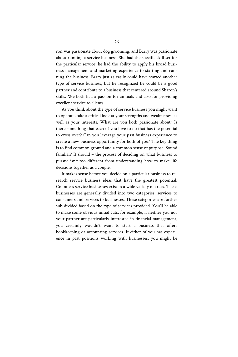ron was passionate about dog grooming, and Barry was passionate about running a service business. She had the specific skill set for the particular service; he had the ability to apply his broad business management and marketing experience to starting and running the business. Barry just as easily could have started another type of service business, but he recognized he could be a good partner and contribute to a business that centered around Sharon's skills. We both had a passion for animals and also for providing excellent service to clients.

As you think about the type of service business you might want to operate, take a critical look at your strengths and weaknesses, as well as your interests. What are you both passionate about? Is there something that each of you love to do that has the potential to cross over? Can you leverage your past business experience to create a new business opportunity for both of you? The key thing is to find common ground and a common sense of purpose. Sound familiar? It should – the process of deciding on what business to pursue isn't too different from understanding how to make life decisions together as a couple.

It makes sense before you decide on a particular business to research service business ideas that have the greatest potential. Countless service businesses exist in a wide variety of areas. These businesses are generally divided into two categories: services to consumers and services to businesses. These categories are further sub-divided based on the type of services provided. You'll be able to make some obvious initial cuts; for example, if neither you nor your partner are particularly interested in financial management, you certainly wouldn't want to start a business that offers bookkeeping or accounting services. If either of you has experience in past positions working with businesses, you might be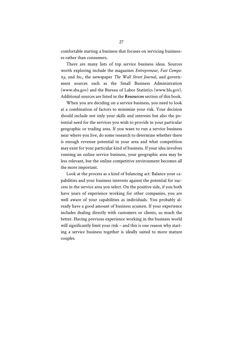comfortable starting a business that focuses on servicing businesses rather than consumers.

There are many lists of top service business ideas. Sources worth exploring include the magazines *Entrepreneur*, *Fast Company*, and *Inc.*, the newspaper *The Wall Street Journal*, and government sources such as the Small Business Administration (www.sba.gov) and the Bureau of Labor Statistics (www.bls.gov). Additional sources are listed in the **Resources** section of this book.

When you are deciding on a service business, you need to look at a combination of factors to minimize your risk. Your decision should include not only your skills and interests but also the potential need for the services you wish to provide in your particular geographic or trading area. If you want to run a service business near where you live, do some research to determine whether there is enough revenue potential in your area and what competition may exist for your particular kind of business. If your idea involves running an online service business, your geographic area may be less relevant, but the online competitive environment becomes all the more important.

Look at the process as a kind of balancing act: Balance your capabilities and your business interests against the potential for success in the service area you select. On the positive side, if you both have years of experience working for other companies, you are well aware of your capabilities as individuals. You probably already have a good amount of business acumen. If your experience includes dealing directly with customers or clients, so much the better. Having previous experience working in the business world will significantly limit your risk – and this is one reason why starting a service business together is ideally suited to more mature couples.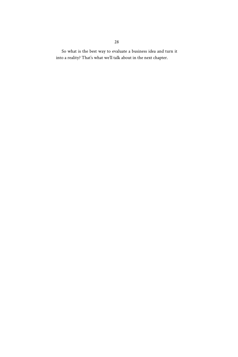So what is the best way to evaluate a business idea and turn it into a reality? That's what we'll talk about in the next chapter.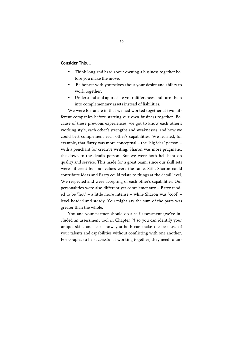Consider This…

- Think long and hard about owning a business together before you make the move.
- Be honest with yourselves about your desire and ability to work together.
- Understand and appreciate your differences and turn them into complementary assets instead of liabilities.

We were fortunate in that we had worked together at two different companies before starting our own business together. Because of these previous experiences, we got to know each other's working style, each other's strengths and weaknesses, and how we could best complement each other's capabilities. We learned, for example, that Barry was more conceptual – the "big idea" person – with a penchant for creative writing. Sharon was more pragmatic, the down-to-the-details person. But we were both hell-bent on quality and service. This made for a great team, since our skill sets were different but our values were the same. Still, Sharon could contribute ideas and Barry could relate to things at the detail level. We respected and were accepting of each other's capabilities. Our personalities were also different yet complementary – Barry tended to be "hot" – a little more intense – while Sharon was "cool" – level-headed and steady. You might say the sum of the parts was greater than the whole.

You and your partner should do a self-assessment (we've included an assessment tool in Chapter 9) so you can identify your unique skills and learn how you both can make the best use of your talents and capabilities without conflicting with one another. For couples to be successful at working together, they need to un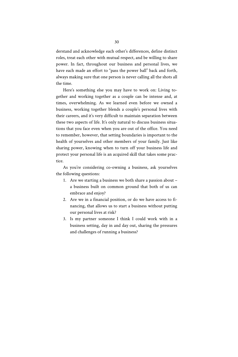derstand and acknowledge each other's differences, define distinct roles, treat each other with mutual respect, and be willing to share power. In fact, throughout our business and personal lives, we have each made an effort to "pass the power ball" back and forth, always making sure that one person is never calling all the shots all the time.

Here's something else you may have to work on: Living together and working together as a couple can be intense and, at times, overwhelming. As we learned even before we owned a business, working together blends a couple's personal lives with their careers, and it's very difficult to maintain separation between these two aspects of life. It's only natural to discuss business situations that you face even when you are out of the office. You need to remember, however, that setting boundaries is important to the health of yourselves and other members of your family. Just like sharing power, knowing when to turn off your business life and protect your personal life is an acquired skill that takes some practice.

As you're considering co-owning a business, ask yourselves the following questions:

- 1. Are we starting a business we both share a passion about a business built on common ground that both of us can embrace and enjoy?
- 2. Are we in a financial position, or do we have access to financing, that allows us to start a business without putting our personal lives at risk?
- 3. Is my partner someone I think I could work with in a business setting, day in and day out, sharing the pressures and challenges of running a business?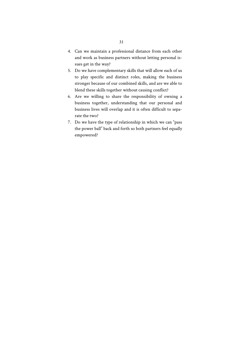- 4. Can we maintain a professional distance from each other and work as business partners without letting personal issues get in the way?
- 5. Do we have complementary skills that will allow each of us to play specific and distinct roles, making the business stronger because of our combined skills, and are we able to blend these skills together without causing conflict?
- 6. Are we willing to share the responsibility of owning a business together, understanding that our personal and business lives will overlap and it is often difficult to separate the two?
- 7. Do we have the type of relationship in which we can "pass the power ball" back and forth so both partners feel equally empowered?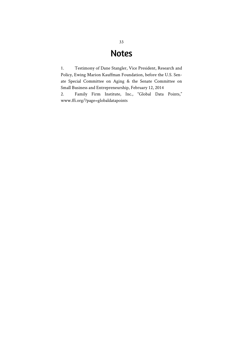# Notes

1. Testimony of Dane Stangler, Vice President, Research and Policy, Ewing Marion Kauffman Foundation, before the U.S. Senate Special Committee on Aging & the Senate Committee on Small Business and Entrepreneurship, February 12, 2014

2. Family Firm Institute, Inc., "Global Data Points," www.ffi.org/?page=globaldatapoints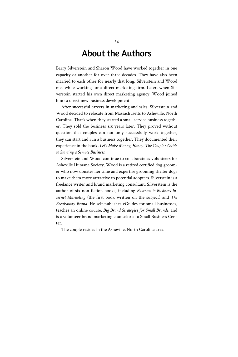# About the Authors

Barry Silverstein and Sharon Wood have worked together in one capacity or another for over three decades. They have also been married to each other for nearly that long. Silverstein and Wood met while working for a direct marketing firm. Later, when Silverstein started his own direct marketing agency, Wood joined him to direct new business development.

After successful careers in marketing and sales, Silverstein and Wood decided to relocate from Massachusetts to Asheville, North Carolina. That's when they started a small service business together. They sold the business six years later. They proved without question that couples can not only successfully work together, they can start and run a business together. They documented their experience in the book, *Let's Make Money, Honey: The Couple's Guide to Starting a Service Business***.**

Silverstein and Wood continue to collaborate as volunteers for Asheville Humane Society. Wood is a retired certified dog groomer who now donates her time and expertise grooming shelter dogs to make them more attractive to potential adopters. Silverstein is a freelance writer and brand marketing consultant. Silverstein is the author of six non-fiction books, including *Business-to-Business Internet Marketing* (the first book written on the subject) and *The Breakaway Brand*. He self-publishes eGuides for small businesses, teaches an online course, *Big Brand Strategies for Small Brands*, and is a volunteer brand marketing counselor at a Small Business Center.

The couple resides in the Asheville, North Carolina area.